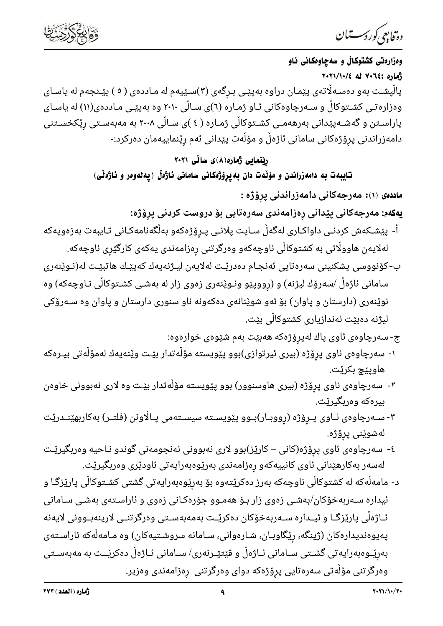

دە فابىي كوردسىتىان

وهزارهتي كشتوكالٌ و سه چاوهكاني ئاو زْمَاره :٧٠٦٤ له ١٠٢١/١٠/٤ پالْپشـت بهو دهسـهڵاتمی پێمـان دراوه بهپێـی بـرِگهی (۳)سـێیهم له مـاددهی ( ٥ ) پێـنجهم له یاسـای وهزارهتـی کشـتوکاڵ و سـهرچاوهکانی ئـاو ژمـاره (٦)ی سـاڵی ۲۰۱۰ وه بهپێـی مـاددهی(۱۱) له یاسـای پاراسـتن و گەشـەپێدانى بەرھەمـى كشـتوكاڵى ژمـارە ( ٤ )ى سـاڵى ٢٠٠٨ بە مەبەسـتى رێكخسـتنى دامەزراندنى پرۆژەكانى سامانى ئاژەڵ و مۆڵەت پێدانى ئەم رێنماييەمان دەركرد:-

## رینمایی ژماره(۸)ی سالّی ۲۰۲۱

تايبهت به دامهزراندن و مۆڵەت دان بەيرۆژەكانى سامانى ئاژەڵ (يەلەوەر و ئاژەڵى)

<mark>ماددەی</mark> (۱): مەرجەكانى دامەزراندنى پرِۆژە :

**يەكەم:** مەرجەكانى پێدانى رەزامەندى سەرەتايى بۆ دروست كردنى پرۆژە:

- أ- پێشـکەش کردنـی داواکـاری لەگەڵ سـایت پلانـی پـرۆژەکەو بەڵگەنامەکـانی تـایبەت بەزەویەکە لەلايەن ھاوولّاتى بە كشتوكالّى ناوچەكەو وەرگرتنى رەزامەندى يەكەى كارگێرى ناوچەكە.
- ب-كۆنووسى پشكنينى سەرەتايى ئەنجـام دەدرێـت لەلايەن ليـژنەيەك كەپێـك ھاتبێـت لە(نـوێنەرى سامانی ئاژەڵ /سەرۆك لیژنه) و (رووپێو ونـوێنەری زەوی زار لە بەشـی کشـتوکاڵی نـاوچەکە) وە نوێنەرى (دارستان و پاوان) بۆ ئەو شوێنانەى دەكەونە ناو سنورى دارستان و پاوان وە سـﻪرۆكى ليژنه دەبێت ئەندازيارى كشتوكاڵى بێت.
	- ج- سەرچاوەی ئاوی پاك لەپرۆژەكە ھەبێت بەم شێوەی خوارەوە:
- ۱- سەرچاوەى ئاوى پرۆژە (بيرى ئيرتوازى)بوو پێويستە مۆڵەتدار بێت وێنەيەك لەمۆڵەتى بيـرەكە هاويٽچ بکرٽت.
- ۲- سەرچاوەی ئاوی پرۆژە (بیری ھاوسنوور) بوو پێویسته مۆڵەتدار بێت وە لاری نەبوونی خاوەن بيرەكە وەربگيرێت.
- ۳- سـﻪرچاوەی ئـﺎوی پـﺮِۆژە (ڕووبـﺎر)بـﻮو پێویسـﺘﻪ سیسـﺘﻪمی پـﺎلٚاوتن (فلتـر) بەكاربهێنـﺪرێت لەشوێنى پرۆژە.
- ٤- سەرچاوەی ئاوی پرۆژە(کانی کارێز)بوو لاری نەبوونی ئەنجومەنی گوندو نـاحیە وەربگیرێت لەسەر بەكارھێنانى ئاوى كانييەكەو رەزامەندى بەرێوەبەرايەتى ئاودێرى وەربگيرێت.
- د- مامەلْەكە لە كشتوكالْی ناوچەكە بەرز دەكرێتەوە بۆ بەرێوەبەرايەتی گشتی كشـتوكالْی پارێزگـا و ئیداره سـﻪربهخۆکان/بەشـی زەوی زار بـۆ ھەمـوو جۆرەکـانی زەوی و ئاراسـتەی بەشـی سـامانی ئـاژەڵى پارێزگـا و ئیــدارە ســەربەخۆكان دەكرێــت بەمەبەسـتى وەرگرتنــى لارینەبــوونى لایەنە پەيوەنديدارەكان (ژينگە، رێگاوبـان، شـارەوانى، سـامانە سروشـتيەكان) وە مـامەڵەكە ئاراسـتەى بەرێـوەبەرايەتى گشـتى سـامانى ئـاژەڵ و ڤێتێـرنەرى/ سـامانى ئـاژەڵ دەكرێــت بە مەبەسـتى وەرگرتنى مۆڵەتى سەرەتايى پرۆژەكە دواى وەرگرتنى رەزامەندى وەزير.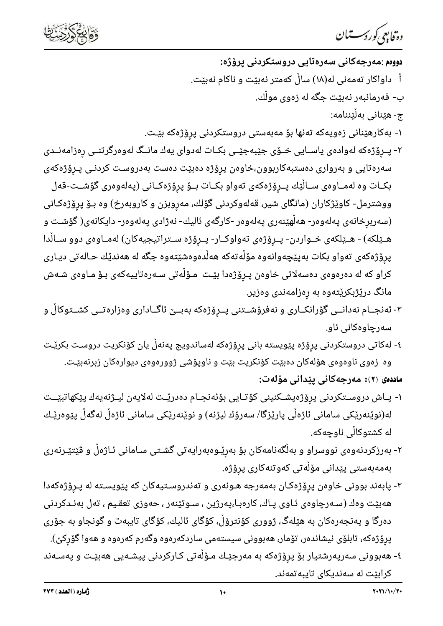

دە فابىي كوردسىتىان

- دووم :مەرجەكانى سەرەتايى دروستكردنى يرۆژە: أ- داواکار تەمەنى لە(١٨) سالْ کەمتر نەبێت و ناکام نەبێت. ب- فەرمانبەر نەبێت جگە لە زەوى موڵك.
	- ج- هێناني بەڵێننامە:
- ۱- بەكارھێنانى زەويەكە تەنھا بۆ مەبەستى دروستكردنى پرۆژەكە بێت.
- ۲- پــرۆژەكە لەوادەی ياســايی خــۆی جێبەجێــی بکــات لەدوای يەك مانــگ لەوەرگرتنــی رەزامەنــدی سەرەتايى و بەروارى دەستبەكاربوون،خاوەن پرۆژە دەبێت دەست بەدروسـت كردنـى پـرۆژەكەى بكــات وه لەمــاوەی ســاڵێك پــرِۆژەكەی تەواو بكــات بــۆ پرِۆژەكــانى (پەلەوەرى گۆشــت-قەل – ووشترمل- کاوێژکاران (مانگای شیر، قەلەوکردنی گۆلك، مەروبزن و کاروبەرخ) وە بـۆ پرۆژەکـانی (سەربرِخانەی پەلەوەر- ھەڵھێنەری پەلەوەر -كارگەی ئالیك- نەژادی پەلەوەر- دایكانەی( گۆشـت و هـێلکه) - هـێلکهی خــواردن- پــڕۆژەی تەواوکــار- پــرِۆژه ســتراتیجیهکان) لەمــاوەی دوو ســالْدا پرۆژەكەی تەواو بكات بەپێچەوانەوە مۆڵەتەكە ھەڵدەوەشێتەوە جگە لە ھەندێك حـالەتى ديـارى کراو که له دەرەوەی دەسەلاتی خاوەن پـرۆژەدا بێـت مـۆڵەتی سـەرەتاييەکەی بـۆ مـاوەی شـەش مانگ درێژبکرێتەوە بە رەزامەندى وەزير.
- ۳- ئەنجــام نەدانــی گۆرانکــاری و نەفرۆشــتنی پــروژەکە بەبــێ ئاگــاداری وەزارەتــی کشــتوکاڵ و سەرچاوەكانى ئاو.
- ٤- لەكاتى دروستكردنى پرۆژە پێويستە بانى پرۆژەكە لەساندويج پەنەڵ يان كۆنكريت دروست بكرێت وه زەوی ناوەوەی ھۆلەكان دەبێت كۆنكريت بێت و ناوپۆشى ژوورەوەی ديوارەكان زبرنەبێت. ماددەی (٢): مەرجەكانى يێدانى مۆلەت:
- ۱- پـاش دروسـتکردنی پرۆژەپشـکنینی کۆتـایی بۆئەنجـام دەدرێـت لەلايەن لیـژنەيەك پێکھاتبێــت لە(نوێنەرێکی سامانی ئاژەڵی پارێزگا/ سەرۆك لیژنە) و نوێنەرێکی سامانی ئاژەڵ لەگەڵ پێوەرێـك له کشتوکاڵی ناوچهکه.
- ۲- بەرزكردنەوەی نووسراو و بەلْگەنامەكان بۆ بەرێـوەبەرايەتى گشـتى سـامانى ئـاژەڵ و ڤێتێـرنەرى بەمەبەستى پێدانى مۆڵەتى كەوتنەكارى پرۆژە.
- ۳- پابەند بوونی خاوەن پرۆژەکـان بەمەرجە ھـونەری و تەندروسـتيەکان کە پێويسـتە لە پـرۆژەکەدا هەبێت وەك (سـﻪرچاوەی ئـﺎوی پـﺎك، كارەبـﺎ،پەرژین ، سـﻮتێنەر ، حەوزى تعقـیم ، تەل بەنـﺪكردنى دەرگا و پەنجەرەكان بە ھێلەگ، ژوورى كۆنترۆڵ، كۆگاى ئاليك، كۆگاى تايبەت و گونجاو بە جۆرى پرِۆژەكە، تابلۆى نيشاندەر، تۆمار، ھەبوونى سيستەمى ساردكەرەوە وگەرم كەرەوە و ھەوا گۆركێ).
- ٤- ھەبوونى سەرپەرشتيار بۆ پرۆژەكە بە مەرجێـك مـۆڵەتى كـاركردنى پيشـەيى ھەبێـت و پەسـەند کرابێت له سەندیکای تایبەتمەند.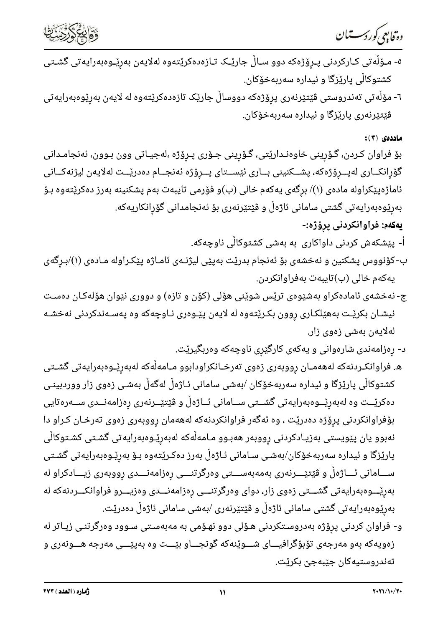



- ٥- مـۆڵەتى كـاركردنى پـڕۆژەكە دوو سـاڵ جارێـَک تـازەدەكرێتەوە لەلايەن بەرێـوەبەرايەتى گشـتى کشتوکاڵی پارێزگا و ئیداره سەربەخۆکان.
- ٦- مۆڵەتى تەندروستى ڤێتێرنەرى پرۆژەكە دووساڵ جارێک تازەدەكرێتەوە لە لايەن بەرێوەبەرايەتى ڤێتێرنەری پارێزگا و ئیدارە سەربەخۆکان.

ماددەى (٣):

بۆ فراوان كـردن، گـۆرپنى خاوەنـدارێتى، گـۆرپنى جـۆرى پـرۆژە ،لەجيـاتى وون بـوون، ئەنجامـدانى گۆرانكــارى لەپــرۆژەكە، پشــكنينى بــارى ئێســتاى پــرۆژە ئەنجــام دەدرێــت لەلايەن ليژنەكــانى ئاماژەپێکراولە مادەی (۱)/ برِگەی يەکەم خالی (ب)و فۆرمی تايبەت بەم پشکنینە بەرز دەکرێتەوە بـۆ بەرێوەبەرايەتى گشتى سامانى ئاژەڵ و ڤێتێرنەرى بۆ ئەنجامدانى گۆرانكاريەكە.

يەكەم: ڧراوانكردنى پرۆژە:-

أ- پێشکەش کردنی داواکاری بە بەشی کشتوکاڵی ناوچەکە.

- ب-کۆنووس پشکنین و نەخشەی بۆ ئەنجام بدرێت بەپێی لیژنـەی ئامـاژە پێکـراولە مـادەی (۱)/بـرِگەی يەكەم خالى (ب)تايبەت بەفراوانكردن.
- ج- نهخشهی ئامادهکراو بهشێوهی ترێس شوێنی هۆلی (کۆن و تازه) و دووری نێوان هۆلەکـان دەسـت نیشـان بکریّـت بههی٘لکـاری روون بکـری٘تهوه له لایهن پیّـوهری نـاوچهکه وه پهسـهندکردنی نهخشـه لەلايەن بەشى زەوى زار.
	- د- رِهزامەندى شارەوانى و يەكەى كارگێرى ناوچەكە وەربگيرێت.
- ه. فراوانکـردنهکه لهههمـان رووبهری زهوی تهرخـانکراودابوو مـامهڵهکه لهبهرێـوهبهرایهتی گشــتی کشتوکاڵی پارێزگا و ئیداره سەربەخۆکان ⁄بەشی سامانی ئـاژەڵ لەگەڵ بەشـی زەوی زار ووردبینـی دەكرێــت وە لەبەرێــوەبەرايەتى گشــتى ســامانى ئــاژەڵ و ڤێتێــرنەرى رەزامەنــدى ســەرەتايى بۆفراوانکردنی پرۆژه دەدریّت ، وه ئەگەر فراوانکردنەکە لەھەمان رووبەری زەوی تەرخـان کـراو دا نەبوو يان پێویستی بەزیـادکردنی رووبەر ھەبـوو مـامەڵەکە لەبەرێـوەبەرايەتی گشـتی کشـتوکاڵی پارێزگا و ئیداره سەربەخۆکان/بەشـی سـامانی ئـاژەڵ بەرز دەکـرێتەوە بـۆ بەرێـوەبەرايەتی گشـتی ســـامانی ئـــاژەڵ و ڤێتێــــرنەری بەمەبەســــتی وەرگرتنــــی رەزامەنــــدی رووبەری زیــــادکراو لە بەرێـــوەبەرايەتى گشـــتى زەوى زار، دواى وەرگرتنـــى رەزامەنـــدى وەزيـــرو فراوانكـــردنەكە لە بەرێوەبەرايەتى گشتى سامانى ئاژەڵ و ڤێتێرنەرى ⁄بەشى سامانى ئاژەڵ دەدرێت.
- و- فراوان کردنی پرِۆژە بەدروسـتکردنی هـۆلی دوو نهـۆمی به مەبەسـتی سـوود وەرگرتنـی زیـاتر له زەويەكە بەو مەرجەى تۆبۆگرافيـــاى شـــوێنەكە گونجـــاو بێـــت وە بەپێـــى مەرجە ھـــونەرى و تەندروستيەكان جێبەجى بكرێت.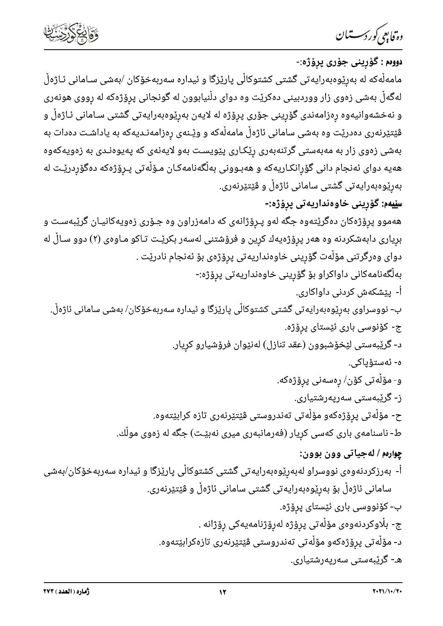

—

<mark>رونّابِ<sup>م</sup>ى *ؤرگرمــــــــان*<br>دووم : گۆرپنى جۆرى پرۆژە:-<br>مامەلّەكە لە بەرێوەبەرايەتى گشتى كشتوكالّى پارێزگا و ئيدارە سەربەخۆكان /بەشى سـامانى ئـاژەلّ<br>لەگەلّ بەشى زەوى زار ووردبينى دەكريّت وە دواى دلّنيابوون لە گونجانى پر</mark> و نهخشهوانیهوه پوزامهندی گوّرِینی جوّری پرِوٌژه له لایهن بهرِپُوهِبهرایه تی گشتی سـامانی نـاژهلِّ و<br>فیتیّرنهری دهدریّت وه بهشی سامانی ناژهل مامهآمکه و ویّـنهی پرزامهدایه تی گشتی سـامانی نـاژهلِّ و<br>فیتیّرنهری دهدریّت وه به أ- پێشکەش کردنی داواکاری. ب- نووسراوی بەرێوەبەرايەتی گشتی کشتوکاڵی پارێزگا و ئیدارە سەربەخۆکان/ بەشی سامانی ئاژەڵ. ج- كۆنوسى بارى ئێستاى پرۆژە. د- گرێبەستى لێخۆشبوون (عقد تنازل) لەنێوان فرۆشيارو كريار. ە- ئەستۆياكى. و- مۆڵەتى كۆن/ رەسەنى پرۆژەكە. ز- گرێبەستى سەرپەرشتيارى. ح- مۆڵەتى پرۆژەكەو مۆڵەتى تەندروستى ڤێتێرنەرى تازە كرابێتەوە. ط- ناسنامهی باری کهسی کرِیار (فهرمانبهری میری نهبێـت) جگه له زهوی مولّك. چوارهم / لهجياتي وون بوون: أ- بەرزكردنەوەی نووسراو لەبەرێوەبەرايەتی گشتی كشتوكاڵی پارێزگا و ئیدارە سەربەخۆكان/بەشی سامانی ئاژەڵ بۆ بەرێوەبەرايەتی گشتی سامانی ئاژەڵ و ڤێتێرنەری. ب- كۆنووسى بارى ئێستاى پرۆژە. ج- بڵاوکردنەوەی مۆڵەتى پرۆژە لەرۆژنامەيەكى رۆژانە . د- مۆلّەتى پرۆژەكەو مۆلّەتى تەندروستى ڤێتێرنەرى تازەكرابێتەوە. هـ- گرێبەستى سەريەرشتيارى.

 $\mathbb{R}^2$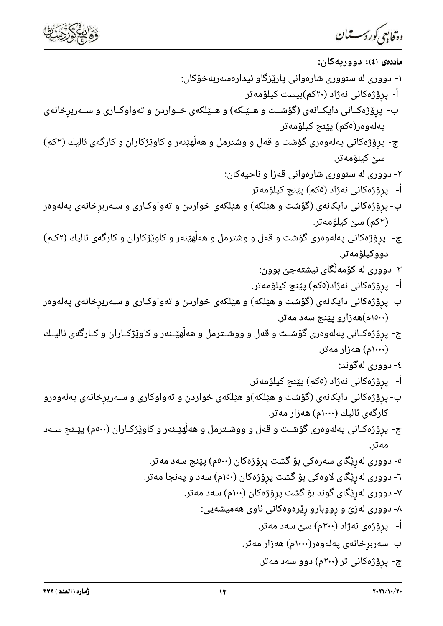



| وە <sup>ت</sup> قابىمى <i>كوردى</i> ت ان                                                       |
|------------------------------------------------------------------------------------------------|
| ماددەى ‹٤›: دووريەكان:                                                                         |
| ۱- دووری له سنووری شارهوانی پارێزگاو ئیدارهسهربهخۆکان:                                         |
| اً-  پرۆژەكانى نەژاد (٢٠كم)بيست كيلۆمەتر                                                       |
| ب-  پرِۆژەکـانی دایکـانەی (گۆشــت و هــێلکه) و هــێلکەی خــواردن و تەواوکــاری و ســەربرِخانەی |
| پەلەوەر(ەكم) پێنج كيلۆمەتر                                                                     |
| ج- پرِۆژەکانی پەلەوەری گۆشت و قەل و وشترمل و ھەلھێنەر و کاوێژکاران و کارگەی ئالیك (۳کم)        |
| سێ کیلۆمەتر.                                                                                   |
| ۲- دووری له سنووری شارهوانی قهزا و ناحیهکان:                                                   |
| اْ-   پرۆژەكانى نەژاد (ەكم) پێنج كيلۆمەتر                                                      |
| ب- پرِۆژەکانی دایکانەی (گۆشت و هێلکە) و هێلکەی خواردن و تەواوکـاری و سـەربرِخانەی پەلەوەر      |
| (۳کم) سێ کیلۆمەتر.                                                                             |
| ج-  پرِۆژەکانی پەلەوەری گۆشت و قەل و وشترمل و ھەلْھێنەر و کاوێژکاران و کارگەی ئالیك (۲کـم)     |
| دووكيلۆمەتر.                                                                                   |
| ۳- دووری له کۆمەلگای نیشتهجێ بوون:                                                             |
| أ-   پرۆژەكانى نەژاد(ەكم) پێنج كيلۆمەتر.                                                       |
| ب- پرِۆژەکانی دایکانەی (گۆشت و هێلکە) و هێلکەی خواردن و تەواوکـاری و سـەربرِخانەی پەلەوەر      |
| (۱۵۰۰م)هەزارو پێنج سەد مەتر.                                                                   |
| ج- پړۆژەكـانى پەلەوەرى گۆشــت و قەل و ووشــترمل و ھەلھێــنەر و كاوێژكـاران و كــارگەى ئاليــك  |
| (۱۰۰۰م) هەزار مەتر.                                                                            |
| ٤- دووری لهگوند:<br>اْ-   پرۆژەكانى نەژاد (ەكم) پێنج كيلۆمەتر.                                 |
| ب- پرِۆژەکانی دایکانەی (گۆشت و هێلکە)و هێلکەی خواردن و تەواوکاری و سـەربڕخانەی پەلەوەرو        |
| کارگەی ئالیك (۱۰۰۰م) ھەزار مەتر.                                                               |
| ج- پڕۆژەكـانى پەلەوەرى گۆشـت و قەل و ووشـترمل و ھەلھێـنەر و كاوێژكـاران (٥٠٠م) پێـنج سـﻪد      |
| مەتر.                                                                                          |
| ٥- دووری لەرێگای سەرەکی بۆ گشت پرۆژەکان (٥٠٠م) پێنج سەد مەتر.                                  |
| ٦- دووری لەرێگای لاوەکی بۆ گشت پرٖۆژەکان (١٥٠م) سەد و پەنجا مەتر.                              |
| ۷- دووری لەرێگای گوند بۆ گشت پرۆژەکان (۱۰۰م) سەد مەتر.                                         |
| ۸- دووری لەزێ و رووبارو رێرەوەکانی ئاوی ھەمیشەیی:                                              |
| اً-   پرِۆژەی نەژاد (۳۰۰م) سێ سەد مەتر.                                                        |
| ب- سەربرِخانەی پەلەوەر(۱۰۰۰م) ھەزار مەتر.                                                      |
| ج- پرِۆژەكانى تر (٢٠٠م) دوو سەد مەتر.                                                          |
|                                                                                                |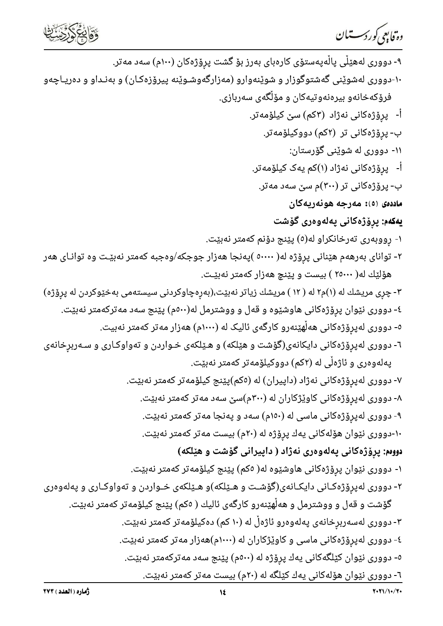دە فابىي كوردسىتىان



۹- دووری لەھێڵی پاڵەپەستۆی کارەبای بەرز بۆ گشت پرۆژەکان (۱۰۰م) سەد مەتر. ۱۰-دووری لهشوێنی گهشتوگوزار و شوێنهوارو (مهزارگهوشـوێنه پیرۆزەکـان) و بهنـداو و دەریـاچەو فرۆکەخانەو بیرەنەوتیەکان و مۆڵگەی سەربازی. أ- پرِۆژەكانى نەژاد (۳كم) سىّ كيلۆمەتر. ب- پرۆژەكانى تر (۲كم) دووكيلۆمەتر. ۱۱- دووری له شوێنی گۆرستان: أ- پرۆژەكانى نەژاد (۱)كم يەک كيلۆمەتر. ب- پرۆژەكانى تر (۳۰۰)م سێ سەد مەتر. م<mark>اددەی</mark> (٥): مەرجە ھونەريەكان **يەكەم:** پرۆژەكانى پەلەوەرى گۆشت ۱- رووبەرى تەرخانكراو لە(٥) پێنج دۆنم كەمتر نەبێت. ۲- توانای بهرههم هێنانی پرِۆژه له( ٥٠٠٠٠ )پهنجا ههزار جوجکه/وهجبه کهمتر نهبێت وه توانـای ههر هۆلێك لە( ۲٥۰۰۰ ) بیست و پێنچ هەزار كەمتر نەبێت. ۳- چری مریشك له (۱)م۲ له ( ۱۲ ) مریشك زیاتر نهبیّت،(بهرهچاوکردنی سیستهمی بهخیّوکردن له پروّژه) ٤- دووری نێوان پرۆژەکانی هاوشێوه و قەل و ووشترمل لە(٥٠٠م) پێنج سەد مەترکەمتر نەبێت. ٥- دووری لەپرۆژەکانی ھەڵھێنەرو کارگەی ئالیک لە (١٠٠٠م) ھەزار مەتر کەمتر نەبیت. ٦- دووری لهپرۆژەکانی دایکانەی(گۆشت و هێلکه) و هـێلکەی خـواردن و تەواوکـاری و سـەربرخانەی یەلەوەری و ئاژەڵی لە (۲کم) دووکیلۆمەتر کەمتر نەبێت. ۷- دووری لەپرۆژەکانی نەژاد (داپیران) لە (٥كم)پێنج کیلۆمەتر كەمتر نەبێت. ۸- دووری لهپرۆژەکانی کاوێژکاران له (۳۰۰م)سێ سهد مەتر کەمتر نەبێت. ۹- دووری لهپرِۆژەکانی ماسی له (۱۵۰م) سهد و پهنجا مەتر کەمتر نەبێت. ۱۰-دووری نێوان هۆلەکانی یەك پرۆژه له (۲۰م) بیست مەتر كەمتر نەبێت. دوومم: پرۆژەكانى پەلەوەرى نەژاد ( داپيرانى گۆشت و هێلکە) ۱- دووری نێوان پرۆژەکانی هاوشێوه له( ٥کم) پێنج کیلۆمەتر کەمتر نەبێت. ۲- دووری لهپرۆژەکـانی دایکـانەی(گۆشـت و هـێلکه)و هـێلکەی خـواردن و تەواوکـاری و پەلەوەری گۆشت و قەل و ووشترمل و هەڵهێنەرو کارگەی ئالیك ( ٥کم) پێنج کیلۆمەتر کەمتر نەبێت. ۳- دووری لەسەربرِخانەی پەلەوەرو ئاژەڵ لە (۱۰ کم) دەکیلۆمەتر کەمتر نەبێت. ٤- دووری لەپرۆژەکانی ماسی و کاوێژکاران لە (١٠٠٠م)هەزار مەتر کەمتر نەبێت. ٥- دووری نێوان کێلگهکانی پهك پرۆژه له (٥٠٠م) پێنج سهد مهترکهمتر نهبێت. ٦- دووری نێوان هۆلەکانی یەك کێلگە لە (٢٠م) بیست مەتر كەمتر نەبێت.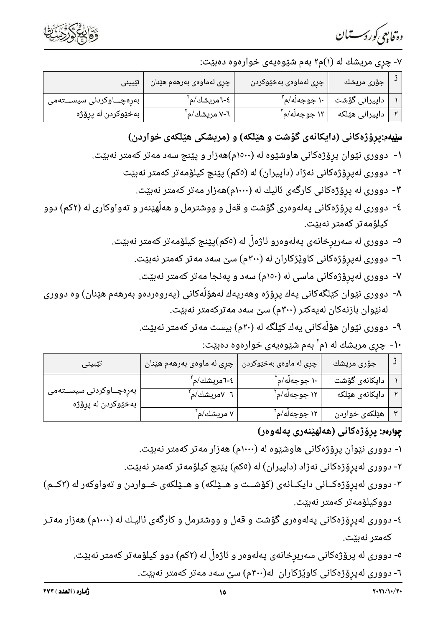وە فابىي كوردسىتىان



### ۷- چری مریشك له (۱)م۲ بهم شێوهیهی خوارهوه دهبێت:

| تێبینی                     | ً چرِی لەماوەی بەرھەم ھێنان $\,$ | چڕی لهماوهی بهخێوکردن      | جۆرى مريشك                               |  |
|----------------------------|----------------------------------|----------------------------|------------------------------------------|--|
| بەرەچـــاوكردنى سيســـتەمى | ٤-٦مريشك/م <sup>٬</sup>          |                            | داپیرانی گۆشت   ۱۰ جوجەڵە/م <sup>٬</sup> |  |
| بەخێوکردن لە پرۆژە         | - ۷-۲ مریشك/م <sup>۲</sup>       | , ۱۲ جوجهڵه/م <sup>۲</sup> | داپیرانی هێلکه                           |  |

# سِیْیهم:پرِوْژەکانی (دایکانەی گۆشت و هێلکه) و (مریشکی هێلکەی خواردن)

- ۱- دووری نێوان پرِۆژەکانی هاوشێوه له (۱۵۰۰م)هەزار و پێنج سەد مەتر کەمتر نەبێت.
	- ۲- دووری لەپرۆژەکانی نەژاد (داپیران) لە (٥كم) پێنج کیلۆمەتر کەمتر نەبێت
		- ۳- دووری له پرۆژەکانی کارگەی ئالیك له (۱۰۰۰م)هەزار مەتر كەمتر نەبێت.
- ٤- دووری له پرۆژەکانی پەلەوەری گۆشت و قەل و ووشترمل و هەڵهێنەر و تەواوکاری له (٢کم) دوو كيلۆمەتر كەمتر نەبێت.
	- ٥- دووری له سەربرخانەی پەلەوەرو ئاژەڵ لە (٥كم)پێنج كيلۆمەتر كەمتر نەبێت.
		- ٦- دووری لهپرو<mark>ٌ</mark>ژهکانی کاوێژکاران له (۳۰۰م) سێ سهد مه<code>تر که</code>متر نهبێت.
		- ۷- دووری لهپرۆژەکانی ماسی له (۱۵۰م) سەد و پەنجا مەتر کەمتر نەبێت.
- ۸- دووری نێوان کێلگهکانی یهك پرۆژه وهەریەك لەهۆڵەکانی (پەروەردەو بەرهەم هێنان) وە دووری لەنێوان بازنەكان لەيەكتر (۳۰۰م) سێ سەد مەتركەمتر نەبێت.
	- ۹- دووری نێوان هۆڵەکانی یەك کێلگه له (۲۰م) بیست مەتر كەمتر نەبێت.
		- ۱۰- چری مریشك له ۱م'ّ بهم شێوهیهی خوارهوه دهبێت:

| تێبینی                                         | چرِی له ماوهی بهرههم هێنان | چړی له ماوهۍ بهخێوکردن   | جۆرى مريشك     |  |
|------------------------------------------------|----------------------------|--------------------------|----------------|--|
|                                                | ٤-٦مريشك/م <sup>٢</sup>    | ۱۰ جوجەڵە/م <sup>٬</sup> | دایکانەی گۆشت  |  |
| بەرەچــاوكردنى سيســتەمى<br>بەخێوکردن لە پڕۆژە | ٦- ٧مريشك/م <sup>′</sup>   | ۱۲ جوجەڵە/م <sup>٬</sup> | دایکانەی ھێلکە |  |
|                                                | ۷ مریشك/م <sup>۲</sup>     | ۱۲ جوجەڵە/م <sup>٬</sup> | هێلکەی خواردن  |  |

## چوارەم: پرۆژەكانى (ھەلھێنەرى پەلەوەر)

- ۱- دووری نێوان پرۆژەکانی هاوشێوه له (۱۰۰۰م) هەزار مەتر کەمتر نەبێت.
- ۲- دووری لەپرۆژەکانی نەژاد (داپیران) لە (٥كم) پێنج کیلۆمەتر كەمتر نەبێت.
- ۳- دووری لهپرۆژەکــانی دایکــانهی (کۆشــت و هــێلکه) و هــێلکهی خــواردن و تهواوکهر له (۲کــم) دووكيلۆمەتر كەمتر نەبێت.
- ٤- دووری لهپرۆژەکانی پەلەوەری گۆشت و قەل و ووشترمل و کارگەی ئالیـك له (١٠٠٠م) هەزار مەتـر كەمتر نەبێت.
	- ٥- دووری له پرۆژەکانی سەربرِخانەی پەلەوەر و ئاژەڵ لە (٢کم) دوو کیلۆمەتر کەمتر نەبێت.
		- ٦- دووری لەپرۆژەكانی كاوێژكاران لە(٣٠٠م) سێ سەد مەتر كەمتر نەبێت.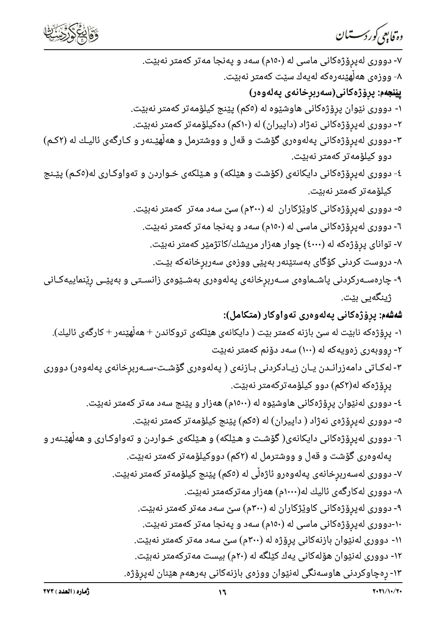



| ۷- دووری لهپرِۆژەکانی ماسی له (۱۵۰م) سەد و پەنجا مەتر کەمتر نەبێت.                             |
|------------------------------------------------------------------------------------------------|
| ۸- ووزەی ھەلھێنەرەکە لەيەك سێت کەمتر نەبێت.                                                    |
| <b>پێنجەم:</b> پڕۆژەكانى(سەربڕخانەى پەلەوەر)                                                   |
| ۱- دووری نێوان پڕۆژەکانی هاوشێوه له (٥کم) پێنج کیلۆمەتر کەمتر نەبێت.                           |
| ۲- دووری لهپرِۆژەکانی نەژاد (داپیران) له (۱۰کم) دەکیلۆمەتر کەمتر نەبێت.                        |
| ۳- دووری لهپرِۆژەکانی پەلەوەری گۆشت و قەل و ووشترمل و هەلْهێـنەر و کـارگەی ئالیـك له (۲کـم)    |
| دوو کیلۆمەتر کەمتر نەبێت.                                                                      |
| ٤- دووری لهپرِۆژەکانی دایکانەی (کۆشت و هێلکه) و هـێلکەی خـواردن و تەواوکـاری له(٥کـم) پێـنج    |
| كيلۆمەتر كەمتر نەبێت.                                                                          |
| ٥- دووری لهپرِۆژەکانی کاوێژکاران  له (٣٠٠م) سێ سەد مەتر  کەمتر نەبێت.                          |
| ٦- دووری لهپرِۆژەکانی ماسی له (١٥٠م) سەد و پەنجا مەتر کەمتر نەبێت.                             |
| ۷- توانای پرِۆژەکە لە (٤٠٠٠) چوار ھەزار مریشك/کاتژمێر کەمتر نەبێت.                             |
| ۸- دروست کردنی کۆگای بەستێنەر بەپێی ووزەی سەربڕخانەکە بێت.                                     |
| ۹- چارەسـﻪرکردنى پاشـﻤﺎﻭەى سـﻪربڕخانەى پەلەوەرى بەشـێوەى زانسـتى و بەپێـى رێنماييەكـانى        |
| ژینگەیی بێت.                                                                                   |
| <b>شەشەم:</b> پرۆژەكانى پەلەوەرى تەواوكار (متكامل):                                            |
| ۱- پرِۆژەكە نابێت لە سێ بازنە كەمتر بێت ( دايكانەی هێلكەی تروكاندن + هەڵهێنەر + كارگەی ئاليك). |
| ۲- ڕووبەرى زەويەكە لە (۱۰۰) سەد دۆنم كەمتر نەبێت                                               |
| ۳- لەكـاتى دامەزرانـدن يـان زيـادكردنى بـازنەى ( پەلەوەرى گۆشـت-سـەربر۪خانەى پەلەوەر) دوورى    |
| پڕۆژەكە لە(۲كم) دوو كيلۆمەتركەمتر نەبێت.                                                       |
| ٤- دووری لهنێوان پڕۆژەکانی هاوشێوه له (١٥٠٠م) هەزار و پێنج سەد مەتر کەمتر نەبێت.               |
| ٥- دووری لەپرۆژەی نەژاد ( داپیران) لە (٥كم) پێنج کیلۆمەتر كەمتر نەبێت.                         |
| ٦- دووری لهپرِۆژەکانی دایکانەی( گۆشـت و هـێلکه) و هـێلکەی خـواردن و تەواوکـاری و هەڵهێـنەر و   |
| پهلهوهری گۆشت و قهل و ووشترمل له (۲کم) دووکیلۆمەتر کەمتر نەبێت.                                |
| ۷- دووری لەسەربرخانەی پەلەوەرو ئاژەڵی لە (٥كم) پێنج کیلۆمەتر كەمتر نەبێت.                      |
| ۸- دووری لهکارگهی ئالیك له(۱۰۰۰م) ههزار مه <code>ترکه</code> متر نهبێت.                        |
| ۹- دووری لەپرِۆژەکانی کاوێژکاران لە (۳۰۰م) سێ سەد مەتر کەمتر نەبێت.                            |
| ۱۰-دووری لهپرِۆژەکانی ماسی له (۱۵۰م) سەد و پەنجا مەتر کەمتر نەبێت.                             |
| ۱۱- دووری لهنێوان بازنهکانی پرِۆژه له (۳۰۰م) سێ سهد مهتر کهمتر نهبێت.                          |
| ۱۲- دووری لەنێوان هۆلەکانی یەك کێلگە لە (۲۰م) بیست مەترکەمتر نەبێت.                            |
| ۱۳- رەچاوكردنى ھاوسەنگى لەنێوان ووزەی بازنەكانى بەرھەم ھێنان لەپرۆژە.                          |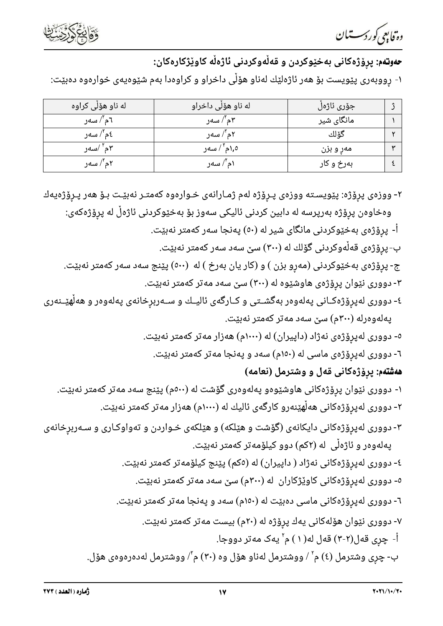دە قابىي كوردىسستان



# ح**ەوتەم**: پرۆژەكانى بەخێوكردن و قەلْەوكردنى ئاژەلْە كاوێژكارەكان:

۱- رووبەرى پێویست بۆ ھەر ئاژەلێك لەناو ھۆڵى داخراو و كراوەدا بەم شێوەیەی خوارەوە دەبێت:

| له ناو هۆلى كراوه     | له ناو هۆلى داخراو      | جۆرى ئاژەل |  |
|-----------------------|-------------------------|------------|--|
| ٦م"/ سەر              | ۴م"/ سەر                | مانگای شیر |  |
| ٤م"/ سەر              | ۲م"/ سەر                | گۆلك       |  |
| ۲م <sup>۲ /</sup> سەر | ۰٫۵م <sup>۲ /</sup> سەر | مەر و بزن  |  |
| ۲م"/ سەر              | ۱م <sup>۲</sup> / سەر   | بەرخ و كار |  |

۲- ووزەی پرِۆژە: پێویسـته ووزەی پـرِۆژە لەم ژمـارانەی خـوارەوە كەمتـر نەبێـت بـۆ ھەر پـرِۆژەيەك وەخاوەن پرۆژە بەرپرسە لە دابين كردنى ئاليكى سەوز بۆ بەخێوكردنى ئاژەڵ لە پرۆژەكەى: أ- پرۆژەی بەخێوکردنی مانگای شیر له (٥٠) پەنجا سەر کەمتر نەبێت. ب-پرۆژەی قەڵەوكردنى گۆلك لە (۳۰۰) سێ سەد سەر كەمتر نەبێت. ج- پروْژەی بەخێوکردنی (مەرو بزن ) و (کار یان بەرخ ) لە (٥٠٠) پێنج سەد سەر کەمتر نەبێت. ۳- دووری نێوان پرِۆژەی هاوشێوه له (۳۰۰) سێ سەد مەتر کەمتر نەبێت. ٤- دووری لەپرۆژەکـانی پەلەوەر بەگشــتی و کــارگەی ئالیــك و ســەربرِخانەی پەلەوەر و ھەڵھێــنەری پەلەوەرلە (٣٠٠م) سێ سەد مەتر كەمتر نەبێت. ٥- دووری لهپرِۆژەی نەژاد (داپیران) له (١٠٠٠م) هەزار مەتر كەمتر نەبێت. ٦- دووری لهپرۆژەی ماسی له (١٥٠م) سەد و پەنجا مەتر كەمتر نەبێت. ه**هشتهم: پرۆژهکانی قهل و وشترمل (نعامه)** ۱- دووری نێوان پرِۆژەکانی هاوشێوەو پەلەوەری گۆشت لە (٥٠٠م) پێنج سەد مەتر کەمتر نەبێت. ۲- دووری لەپرِۆژەکانی هەڵهێنەرو کارگەی ئالیك لە (۱۰۰۰م) هەزار مەتر كەمتر نەبێت. ۳- دووری لهپرۆژەکانی دایکانەی (گۆشت و هێلکه) و هێلکەی خـواردن و تەواوکـاری و سـەربرخانەی پەلەوەر و ئاژەڵى لە (۲كم) دوو كيلۆمەتر كەمتر نەبێت. ٤- دووری لەپرۆژەکانی نەژاد ( داپیران) لە (٥كم) پێنج کیلۆمەتر كەمتر نەبێت. <sup>0</sup>- دووری لەپرۆژەکانی کاوێژکاران لە (۳۰۰م) سێ سەد مەتر کەمتر نەبێت. ٦- دووری لەپرۆژەکانی ماسی دەبێت لە (١٥٠م) سەد و پەنجا مەتر كەمتر نەبێت. ۷- دووری نێوان هۆلەکانی یەك پرۆژه لە (۲۰م) بیست مەتر كەمتر نەبێت. أ- چرِی قهل(۲-۳) قهل له(۱) م' یهک مه<code>تر دووجا.</code> ب- چری وشترمل (٤) م' / ووشترمل لهناو هۆل وه (٣٠) م'/ ووشترمل لهدهرهوهی هۆل.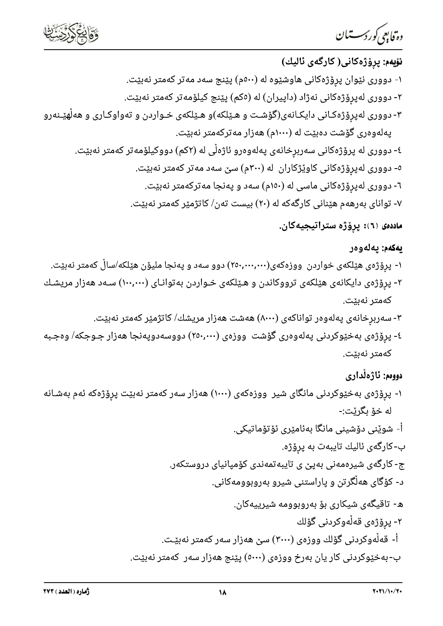



—

**روّیابِ<sup>م</sup>ی** *ک***ررکـــــتّــان**<br>**نوّیهم: پرِوّژهکانی( کارگمی ئالیك)**<br>۱- دووری نیّوان پروّژهکانی هاوشیّوه له (۵۰۰م) پیّنج سهد مهتر کهمتر نهبیّت.<br>۲- دووری لهپرِوْژهکانی نهژاد (داپیران) له (۵۵م) پیّنج کیلوّمهتر کهمتر نهبیّت. ۲- دووری لەپرۆژەکانی نەژاد (داپیران) لە (٥كم) پێنج کیلۆمەتر كەمتر نەبێت. ۳- دووری لهپرِۆژەکـانی دایکـانەی(گۆشـت و هـێلکه)و هـێلکەی خـواردن و تەواوکـاری و هەڵهێـنەرو پهلهوهری گۆشت دهبێت له (۱۰۰۰م) ههزار مهترکهمتر نهبێت. ٤- دووری له پرۆژەکانی سەربرخانەی پەلەوەرو ئاژەڵی لە (٢كم) دووكيلۆمەتر كەمتر نەبێت. ٥- دووری لەپرۆژەكانی كاوێژكاران له (٣٠٠م) سێ سەد مەتر كەمتر نەبێت. ۳- دووری لهپرو<mark>ٌژ</mark>هکانی ماسی له (۱۵۰م) سهد و پهنجا مهترکهمتر نهبێت. - توانای بهرههم هیّنانی کارگهکه له (۲۰) بیست تهن/ کاتژمیّر کهمتر نهبیّت.

ماددەی (٦): پرۆژە ستراتيجيەكان.

### يەكەم: يەلەوەر

- ۱- پرۆژەی هێلکەی خواردن ووزەکەی(۲۵۰٫۰۰۰٫۰۰۰) دوو سەد و پەنجا ملیۆن هێلکە/ساڵ کەمتر نەبێت.
- ۲- پرِوْژەی دایکانەی هێلکەی ترووکاندن و هـێلکەی خـواردن بەتوانـای (۱۰۰,۰۰۰) سـەد هەزار مریشـك كەمتر نەبٽت.
	- ۳- سەربرخانەی پەلەوەر تواناكەی (۸۰۰۰) ھەشت ھەزار مريشك/ كاتژمێر كەمتر نەبێت.
- ٤- پرۆژەی بەخێوکردنی پەلەوەری گۆشت ووزەی (٢٥٠,٠٠٠) دووسەدوپەنجا ھەزار جـوجکە/ وەجـبە كەمتر نەبٽت.

## دوومم: ئاژەڵدارى

- ۱- پرۆژەی بەخێوکردنی مانگای شیر ووزەکەی (۱۰۰۰) هەزار سەر کەمتر نەبێت پرِۆژەکە ئەم بەشـانە له خۆ ىگرٽت:-
	- أ- شوێنى دۆشينى مانگا بەئامێرى ئۆتۆماتيكى.
		- ب-كارگەی ئالیك تايبەت بە پرۆژە.
	- ج- کارگەی شیرەمەنی بەپێ ی تایبەتمەندی کۆمپانیای دروستکەر.
		- د- کۆگای هەڵگرتن و پاراستنی شیرو بەروبوومەکانی.
			- ه- تاقیگەی شیکاری بۆ بەروبوومە شیرییەکان.
				- ۲- پرۆژەى قەلّەوكردنى گۆلك
	- أ- قەلْەوكردنى گۆلك ووزەي (٣٠٠٠) سێ ھەزار سەر كەمتر نەبێت.
	- ب-بهخێوکردنی کار یان بهرخ ووزهی (٥٠٠٠) یێنج ههزار سهر کهمتر نهبێت.

 $\mathbb{R}$